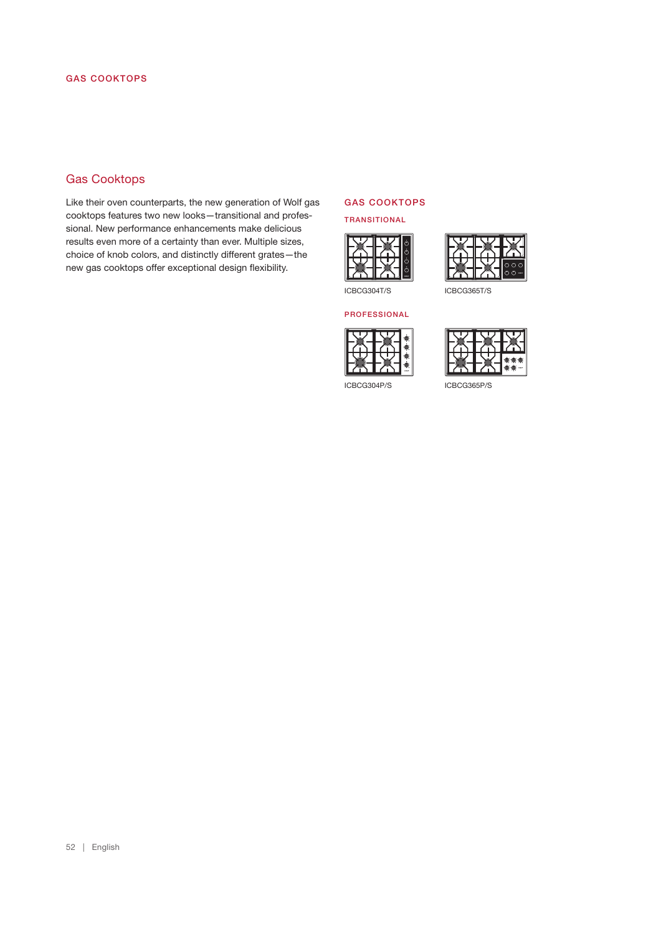# Gas Cooktops

Like their oven counterparts, the new generation of Wolf gas cooktops features two new looks—transitional and professional. New performance enhancements make delicious results even more of a certainty than ever. Multiple sizes, choice of knob colors, and distinctly different grates—the new gas cooktops offer exceptional design flexibility.

#### GAS COOKTOPS

#### TRANSITIONAL





ICBCG304T/S ICBCG365T/S

#### PROFESSIONAL





ICBCG304P/S ICBCG365P/S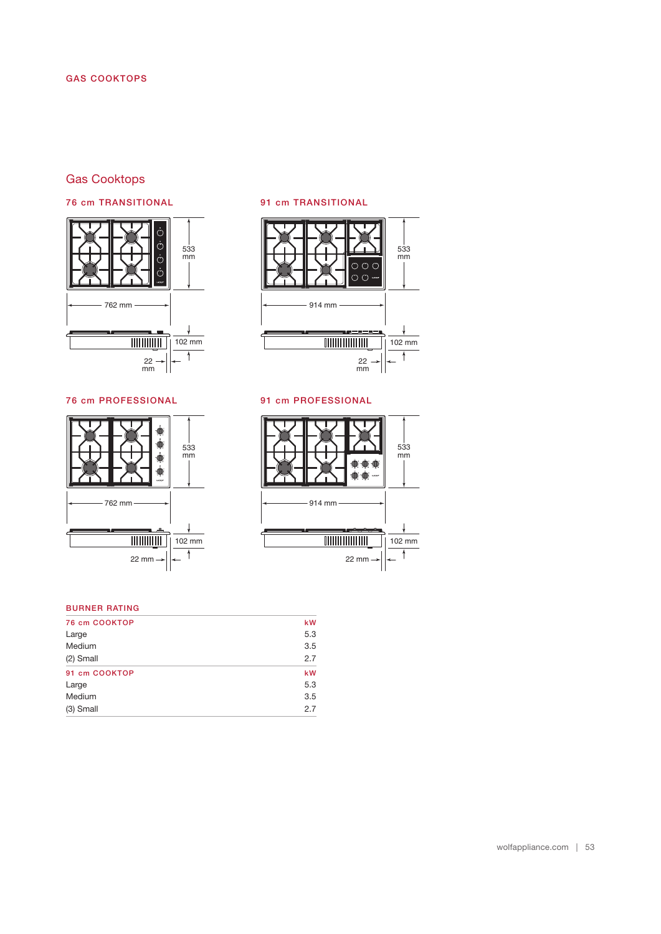# Gas Cooktops

# 76 cm TRANSITIONAL



91 cm TRANSITIONAL



# 91 cm PROFESSIONAL





# BURNER RATING

| 76 cm COOKTOP | kW  |
|---------------|-----|
| Large         | 5.3 |
| Medium        | 3.5 |
| (2) Small     | 2.7 |
| 91 cm COOKTOP | kW  |
| Large         | 5.3 |
| Medium        | 3.5 |
| $(3)$ Small   | 2.7 |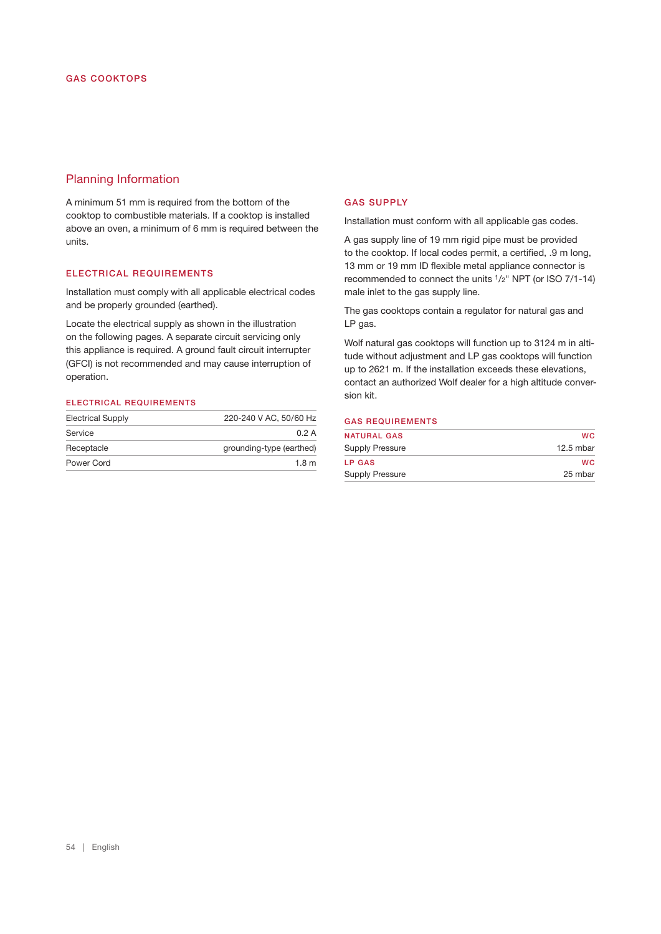# Planning Information

A minimum 51 mm is required from the bottom of the cooktop to combustible materials. If a cooktop is installed above an oven, a minimum of 6 mm is required between the units.

#### ELECTRICAL REQUIREMENTS

Installation must comply with all applicable electrical codes and be properly grounded (earthed).

Locate the electrical supply as shown in the illustration on the following pages. A separate circuit servicing only this appliance is required. A ground fault circuit interrupter (GFCI) is not recommended and may cause interruption of operation.

### ELECTRICAL REQUIREMENTS

| <b>Electrical Supply</b> | 220-240 V AC, 50/60 Hz   |
|--------------------------|--------------------------|
| Service                  | 0.2A                     |
| Receptacle               | grounding-type (earthed) |
| Power Cord               | 1.8 <sub>m</sub>         |

#### GAS SUPPLY

Installation must conform with all applicable gas codes.

A gas supply line of 19 mm rigid pipe must be provided to the cooktop. If local codes permit, a certifed, .9 m long, 13 mm or 19 mm ID fexible metal appliance connector is recommended to connect the units 1/2" NPT (or ISO 7/1-14) male inlet to the gas supply line.

The gas cooktops contain a regulator for natural gas and LP gas.

Wolf natural gas cooktops will function up to 3124 m in altitude without adjustment and LP gas cooktops will function up to 2621 m. If the installation exceeds these elevations, contact an authorized Wolf dealer for a high altitude conversion kit.

## GAS REQUIREMENTS

| <b>NATURAL GAS</b> | wc        |
|--------------------|-----------|
| Supply Pressure    | 12.5 mbar |
| <b>LP GAS</b>      | wc        |
| Supply Pressure    | 25 mbar   |